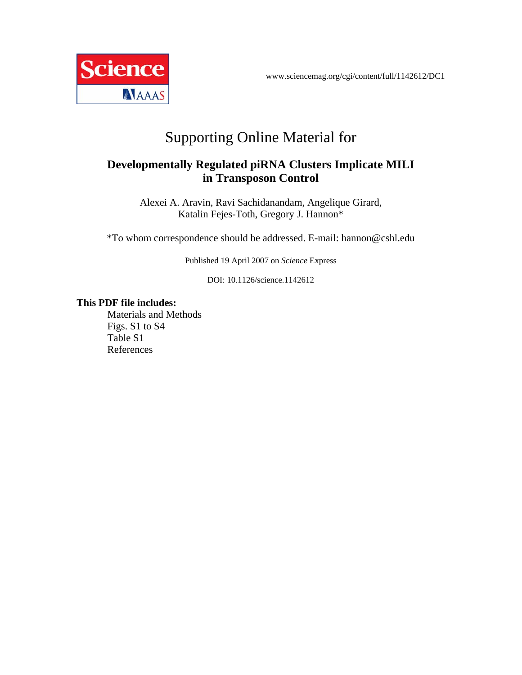

# Supporting Online Material for

## **Developmentally Regulated piRNA Clusters Implicate MILI in Transposon Control**

Alexei A. Aravin, Ravi Sachidanandam, Angelique Girard, Katalin Fejes-Toth, Gregory J. Hannon\*

\*To whom correspondence should be addressed. E-mail: hannon@cshl.edu

Published 19 April 2007 on *Science* Express

DOI: 10.1126/science.1142612

### **This PDF file includes:**

Materials and Methods Figs. S1 to S4 Table S1 References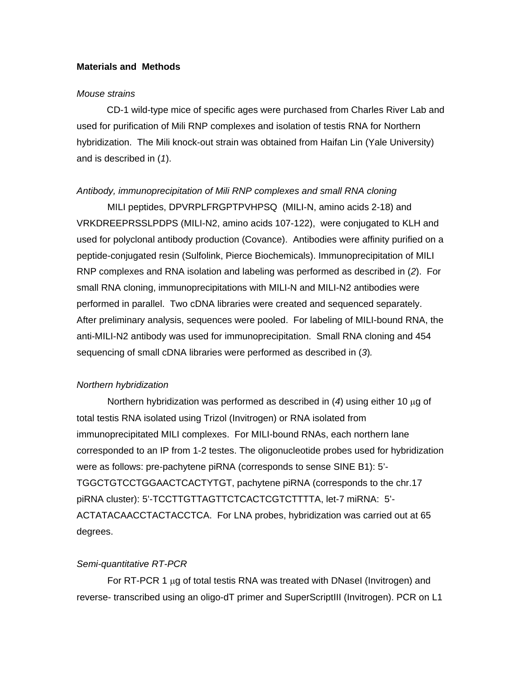#### **Materials and Methods**

#### *Mouse strains*

CD-1 wild-type mice of specific ages were purchased from Charles River Lab and used for purification of Mili RNP complexes and isolation of testis RNA for Northern hybridization. The Mili knock-out strain was obtained from Haifan Lin (Yale University) and is described in (*1*).

#### *Antibody, immunoprecipitation of Mili RNP complexes and small RNA cloning*

MILI peptides, DPVRPLFRGPTPVHPSQ (MILI-N, amino acids 2-18) and VRKDREEPRSSLPDPS (MILI-N2, amino acids 107-122), were conjugated to KLH and used for polyclonal antibody production (Covance). Antibodies were affinity purified on a peptide-conjugated resin (Sulfolink, Pierce Biochemicals). Immunoprecipitation of MILI RNP complexes and RNA isolation and labeling was performed as described in (*2*). For small RNA cloning, immunoprecipitations with MILI-N and MILI-N2 antibodies were performed in parallel. Two cDNA libraries were created and sequenced separately. After preliminary analysis, sequences were pooled. For labeling of MILI-bound RNA, the anti-MILI-N2 antibody was used for immunoprecipitation. Small RNA cloning and 454 sequencing of small cDNA libraries were performed as described in (*3*)*.*

#### *Northern hybridization*

Northern hybridization was performed as described in (*4*) using either 10 µg of total testis RNA isolated using Trizol (Invitrogen) or RNA isolated from immunoprecipitated MILI complexes. For MILI-bound RNAs, each northern lane corresponded to an IP from 1-2 testes. The oligonucleotide probes used for hybridization were as follows: pre-pachytene piRNA (corresponds to sense SINE B1): 5'- TGGCTGTCCTGGAACTCACTYTGT, pachytene piRNA (corresponds to the chr.17 piRNA cluster): 5'-TCCTTGTTAGTTCTCACTCGTCTTTTA, let-7 miRNA: 5'- ACTATACAACCTACTACCTCA. For LNA probes, hybridization was carried out at 65 degrees.

#### *Semi-quantitative RT-PCR*

For RT-PCR 1  $\mu$ g of total testis RNA was treated with DNaseI (Invitrogen) and reverse- transcribed using an oligo-dT primer and SuperScriptIII (Invitrogen). PCR on L1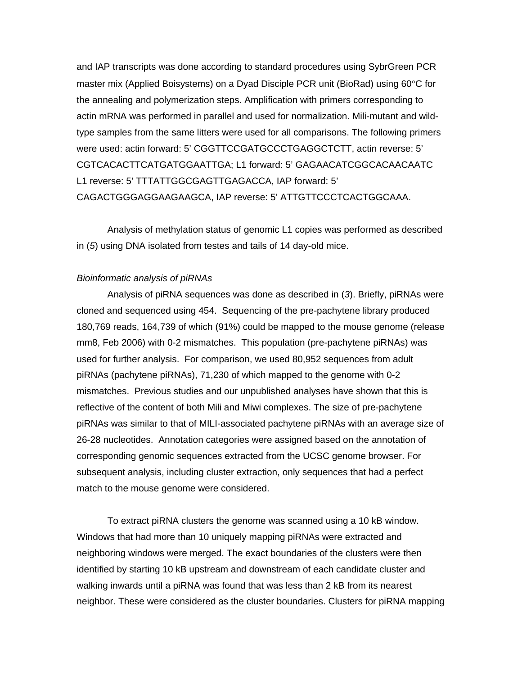and IAP transcripts was done according to standard procedures using SybrGreen PCR master mix (Applied Boisystems) on a Dyad Disciple PCR unit (BioRad) using 60°C for the annealing and polymerization steps. Amplification with primers corresponding to actin mRNA was performed in parallel and used for normalization. Mili-mutant and wildtype samples from the same litters were used for all comparisons. The following primers were used: actin forward: 5' CGGTTCCGATGCCCTGAGGCTCTT, actin reverse: 5' CGTCACACTTCATGATGGAATTGA; L1 forward: 5' GAGAACATCGGCACAACAATC L1 reverse: 5' TTTATTGGCGAGTTGAGACCA, IAP forward: 5' CAGACTGGGAGGAAGAAGCA, IAP reverse: 5' ATTGTTCCCTCACTGGCAAA.

Analysis of methylation status of genomic L1 copies was performed as described in (*5*) using DNA isolated from testes and tails of 14 day-old mice.

#### *Bioinformatic analysis of piRNAs*

Analysis of piRNA sequences was done as described in (*3*). Briefly, piRNAs were cloned and sequenced using 454. Sequencing of the pre-pachytene library produced 180,769 reads, 164,739 of which (91%) could be mapped to the mouse genome (release mm8, Feb 2006) with 0-2 mismatches. This population (pre-pachytene piRNAs) was used for further analysis. For comparison, we used 80,952 sequences from adult piRNAs (pachytene piRNAs), 71,230 of which mapped to the genome with 0-2 mismatches. Previous studies and our unpublished analyses have shown that this is reflective of the content of both Mili and Miwi complexes. The size of pre-pachytene piRNAs was similar to that of MILI-associated pachytene piRNAs with an average size of 26-28 nucleotides. Annotation categories were assigned based on the annotation of corresponding genomic sequences extracted from the UCSC genome browser. For subsequent analysis, including cluster extraction, only sequences that had a perfect match to the mouse genome were considered.

To extract piRNA clusters the genome was scanned using a 10 kB window. Windows that had more than 10 uniquely mapping piRNAs were extracted and neighboring windows were merged. The exact boundaries of the clusters were then identified by starting 10 kB upstream and downstream of each candidate cluster and walking inwards until a piRNA was found that was less than 2 kB from its nearest neighbor. These were considered as the cluster boundaries. Clusters for piRNA mapping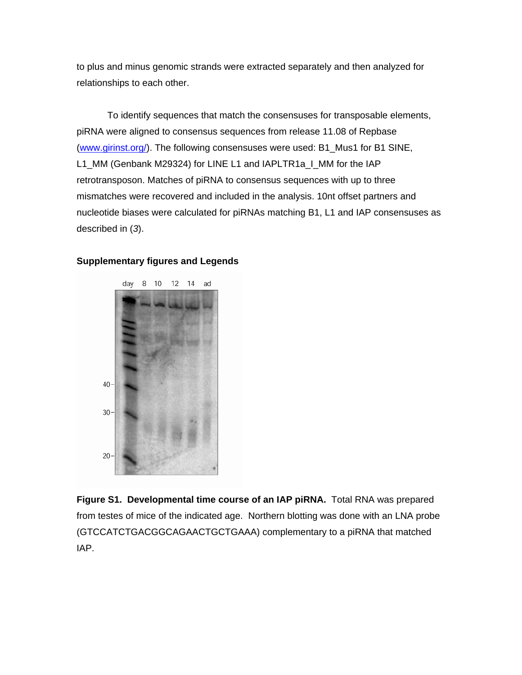to plus and minus genomic strands were extracted separately and then analyzed for relationships to each other.

To identify sequences that match the consensuses for transposable elements, piRNA were aligned to consensus sequences from release 11.08 of Repbase ([www.girinst.org/\)](http://www.girinst.org/). The following consensuses were used: B1\_Mus1 for B1 SINE, L1\_MM (Genbank M29324) for LINE L1 and IAPLTR1a\_I\_MM for the IAP retrotransposon. Matches of piRNA to consensus sequences with up to three mismatches were recovered and included in the analysis. 10nt offset partners and nucleotide biases were calculated for piRNAs matching B1, L1 and IAP consensuses as described in (*3*).



#### **Supplementary figures and Legends**

**Figure S1. Developmental time course of an IAP piRNA.** Total RNA was prepared from testes of mice of the indicated age. Northern blotting was done with an LNA probe (GTCCATCTGACGGCAGAACTGCTGAAA) complementary to a piRNA that matched IAP.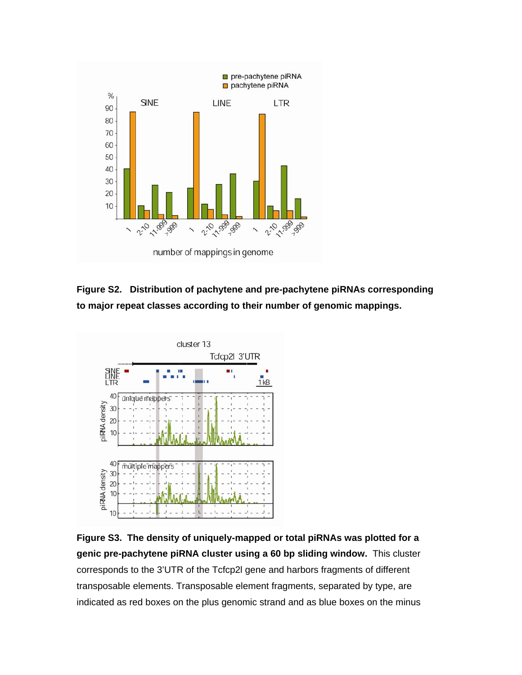

**Figure S2. Distribution of pachytene and pre-pachytene piRNAs corresponding to major repeat classes according to their number of genomic mappings.** 



**Figure S3. The density of uniquely-mapped or total piRNAs was plotted for a genic pre-pachytene piRNA cluster using a 60 bp sliding window.** This cluster corresponds to the 3'UTR of the Tcfcp2l gene and harbors fragments of different transposable elements. Transposable element fragments, separated by type, are indicated as red boxes on the plus genomic strand and as blue boxes on the minus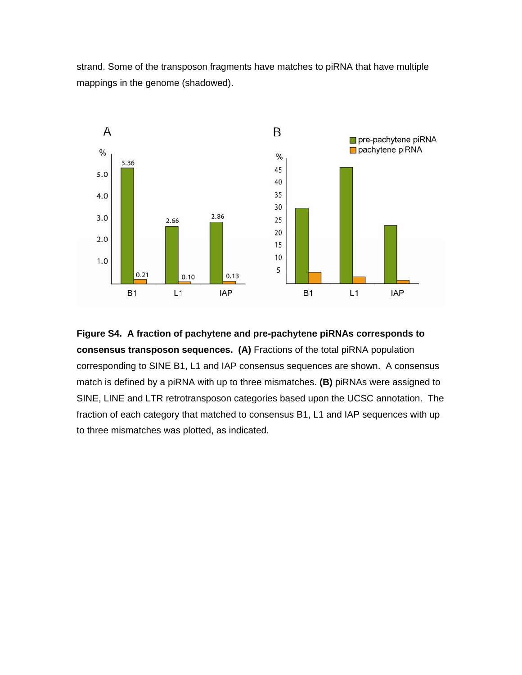strand. Some of the transposon fragments have matches to piRNA that have multiple mappings in the genome (shadowed).



**Figure S4. A fraction of pachytene and pre-pachytene piRNAs corresponds to consensus transposon sequences. (A)** Fractions of the total piRNA population corresponding to SINE B1, L1 and IAP consensus sequences are shown. A consensus match is defined by a piRNA with up to three mismatches. **(B)** piRNAs were assigned to SINE, LINE and LTR retrotransposon categories based upon the UCSC annotation. The fraction of each category that matched to consensus B1, L1 and IAP sequences with up to three mismatches was plotted, as indicated.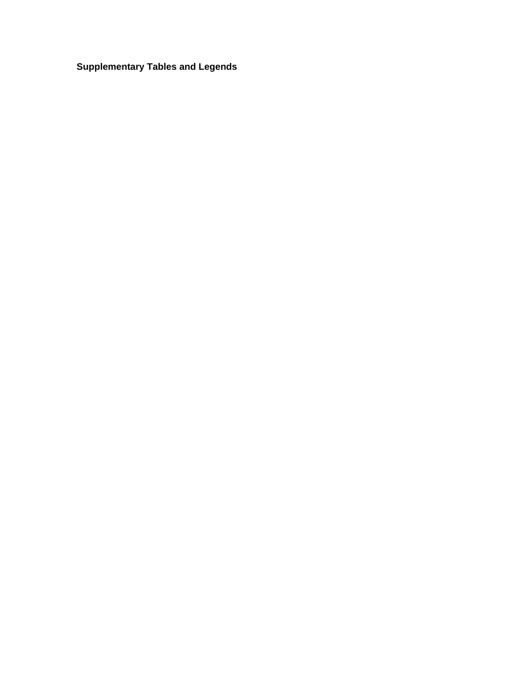# **Supplementary Tables and Legends**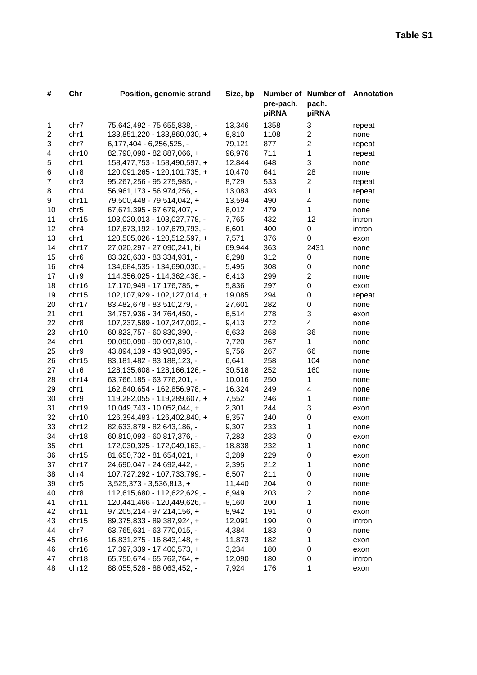| #              | Chr              | Position, genomic strand         | Size, bp | pre-pach.<br>piRNA | Number of Number of<br>pach.<br>piRNA | Annotation |
|----------------|------------------|----------------------------------|----------|--------------------|---------------------------------------|------------|
| 1              | chr7             | 75,642,492 - 75,655,838, -       | 13,346   | 1358               | 3                                     | repeat     |
| $\overline{c}$ | chr1             | 133,851,220 - 133,860,030, +     | 8,810    | 1108               | 2                                     | none       |
| 3              | chr7             | 6,177,404 - 6,256,525, -         | 79,121   | 877                | $\overline{c}$                        | repeat     |
| 4              | chr10            | 82,790,090 - 82,887,066, +       | 96,976   | 711                | 1                                     | repeat     |
| 5              | chr1             | 158,477,753 - 158,490,597, +     | 12,844   | 648                | 3                                     | none       |
| 6              | chr <sub>8</sub> | 120,091,265 - 120,101,735, +     | 10,470   | 641                | 28                                    | none       |
| $\overline{7}$ | chr3             | 95,267,256 - 95,275,985, -       | 8,729    | 533                | $\overline{2}$                        | repeat     |
| 8              | chr4             | 56,961,173 - 56,974,256, -       | 13,083   | 493                | 1                                     | repeat     |
| 9              | chr11            | 79,500,448 - 79,514,042, +       | 13,594   | 490                | 4                                     | none       |
| 10             | chr <sub>5</sub> | 67,671,395 - 67,679,407, -       | 8,012    | 479                | 1                                     | none       |
| 11             | chr15            | 103,020,013 - 103,027,778, -     | 7,765    | 432                | 12                                    | intron     |
| 12             | chr4             | 107,673,192 - 107,679,793, -     | 6,601    | 400                | 0                                     | intron     |
| 13             | chr1             | 120,505,026 - 120,512,597, +     | 7,571    | 376                | 0                                     | exon       |
| 14             | chr17            | 27,020,297 - 27,090,241, bi      | 69,944   | 363                | 2431                                  | none       |
| 15             | chr <sub>6</sub> | 83,328,633 - 83,334,931, -       | 6,298    | 312                | 0                                     | none       |
| 16             | chr4             | 134,684,535 - 134,690,030, -     | 5,495    | 308                | 0                                     | none       |
| 17             | chr9             | 114,356,025 - 114,362,438, -     | 6,413    | 299                | $\overline{c}$                        | none       |
| 18             | chr16            | 17, 170, 949 - 17, 176, 785, +   | 5,836    | 297                | 0                                     | exon       |
| 19             | chr15            | 102,107,929 - 102,127,014, +     | 19,085   | 294                | 0                                     | repeat     |
| 20             | chr17            | 83,482,678 - 83,510,279, -       | 27,601   | 282                | 0                                     | none       |
| 21             | chr1             | 34,757,936 - 34,764,450, -       | 6,514    | 278                | 3                                     | exon       |
| 22             | chr <sub>8</sub> | 107,237,589 - 107,247,002, -     | 9,413    | 272                | 4                                     | none       |
| 23             | chr10            | 60,823,757 - 60,830,390, -       | 6,633    | 268                | 36                                    | none       |
| 24             | chr1             | 90,090,090 - 90,097,810, -       | 7,720    | 267                | $\mathbf 1$                           | none       |
| 25             | chr9             | 43,894,139 - 43,903,895, -       | 9,756    | 267                | 66                                    | none       |
| 26             | chr15            | 83, 181, 482 - 83, 188, 123, -   | 6,641    | 258                | 104                                   | none       |
| 27             | chr <sub>6</sub> | 128, 135, 608 - 128, 166, 126, - | 30,518   | 252                | 160                                   | none       |
| 28             | chr14            | 63,766,185 - 63,776,201, -       | 10,016   | 250                | 1                                     | none       |
| 29             | chr1             | 162,840,654 - 162,856,978, -     | 16,324   | 249                | 4                                     | none       |
| 30             | chr9             | 119,282,055 - 119,289,607, +     | 7,552    | 246                | 1                                     | none       |
| 31             | chr19            | 10,049,743 - 10,052,044, +       | 2,301    | 244                | 3                                     | exon       |
| 32             | chr10            | 126,394,483 - 126,402,840, +     | 8,357    | 240                | 0                                     | exon       |
| 33             | chr12            | 82,633,879 - 82,643,186, -       | 9,307    | 233                | 1                                     | none       |
| 34             | chr18            | 60,810,093 - 60,817,376, -       | 7,283    | 233                | 0                                     | exon       |
| 35             | chr1             | 172,030,325 - 172,049,163, -     | 18,838   | 232                | 1                                     | none       |
| 36             | chr15            | $81,650,732 - 81,654,021, +$     | 3,289    | 229                | 0                                     | exon       |
| 37             | chr17            | 24,690,047 - 24,692,442, -       | 2,395    | 212                | 1                                     | none       |
| 38             | chr4             | 107,727,292 - 107,733,799, -     | 6,507    | 211                | 0                                     | none       |
| 39             | chr <sub>5</sub> | $3,525,373 - 3,536,813, +$       | 11,440   | 204                | 0                                     | none       |
| 40             | chr <sub>8</sub> | 112,615,680 - 112,622,629, -     | 6,949    | 203                | $\mathbf 2$                           | none       |
| 41             | chr11            | 120,441,466 - 120,449,626, -     | 8,160    | 200                | 1                                     | none       |
| 42             | chr11            | 97,205,214 - 97,214,156, +       | 8,942    | 191                | 0                                     | exon       |
| 43             | chr15            | 89, 375, 833 - 89, 387, 924, +   | 12,091   | 190                | 0                                     | intron     |
| 44             | chr7             | 63,765,631 - 63,770,015, -       | 4,384    | 183                | 0                                     | none       |
| 45             | chr16            | 16,831,275 - 16,843,148, +       | 11,873   | 182                | 1                                     | exon       |
| 46             | chr16            | 17,397,339 - 17,400,573, +       | 3,234    | 180                | 0                                     | exon       |
| 47             | chr18            | 65,750,674 - 65,762,764, +       | 12,090   | 180                | 0                                     | intron     |
| 48             | chr12            | 88,055,528 - 88,063,452, -       | 7,924    | 176                | 1                                     | exon       |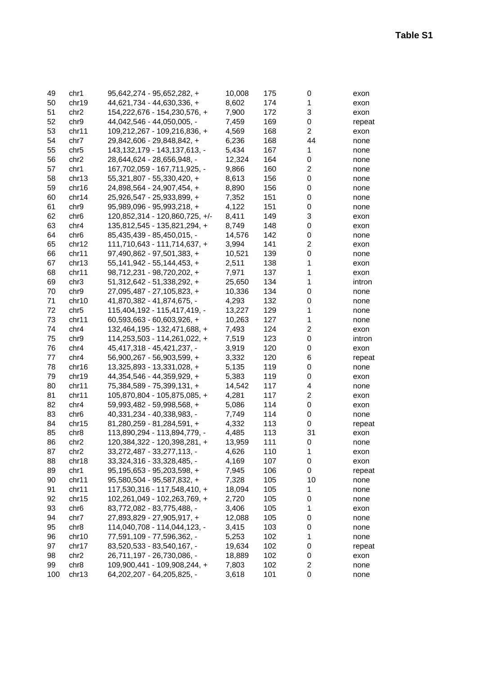| 49  | chr1             | $95,642,274 - 95,652,282, +$     | 10,008 | 175 | 0              | exon   |
|-----|------------------|----------------------------------|--------|-----|----------------|--------|
| 50  | chr19            | 44,621,734 - 44,630,336, +       | 8,602  | 174 | 1              | exon   |
| 51  | chr <sub>2</sub> | 154, 222, 676 - 154, 230, 576, + | 7,900  | 172 | 3              | exon   |
| 52  | chr9             | 44,042,546 - 44,050,005, -       | 7,459  | 169 | 0              | repeat |
| 53  | chr11            | 109,212,267 - 109,216,836, +     | 4,569  | 168 | $\overline{2}$ | exon   |
| 54  | chr7             | 29,842,606 - 29,848,842, +       | 6,236  | 168 | 44             | none   |
| 55  | chr <sub>5</sub> | 143, 132, 179 - 143, 137, 613, - | 5,434  | 167 | 1              | none   |
| 56  | chr <sub>2</sub> | 28,644,624 - 28,656,948, -       | 12,324 | 164 | 0              | none   |
| 57  | chr1             | 167,702,059 - 167,711,925, -     | 9,866  | 160 | 2              | none   |
| 58  | chr13            | 55,321,807 - 55,330,420, +       | 8,613  | 156 | 0              | none   |
| 59  | chr16            | 24,898,564 - 24,907,454, +       | 8,890  | 156 | 0              | none   |
| 60  | chr14            | 25,926,547 - 25,933,899, +       | 7,352  | 151 | 0              | none   |
| 61  | chr9             | 95,989,096 - 95,993,218, +       | 4,122  | 151 | 0              | none   |
| 62  | chr <sub>6</sub> | 120,852,314 - 120,860,725, +/-   | 8,411  | 149 | 3              | exon   |
| 63  | chr4             | 135,812,545 - 135,821,294, +     | 8,749  | 148 | 0              | exon   |
| 64  | chr <sub>6</sub> | 85,435,439 - 85,450,015, -       | 14,576 | 142 | 0              | none   |
| 65  | chr12            | 111,710,643 - 111,714,637, +     | 3,994  | 141 | 2              | exon   |
| 66  | chr11            | 97,490,862 - 97,501,383, +       | 10,521 | 139 | 0              | none   |
| 67  | chr13            | $55,141,942 - 55,144,453, +$     | 2,511  | 138 | 1              | exon   |
| 68  | chr11            | 98,712,231 - 98,720,202, +       | 7,971  | 137 | 1              | exon   |
| 69  | chr3             | 51,312,642 - 51,338,292, +       | 25,650 | 134 | 1              | intron |
| 70  | chr9             | 27,095,487 - 27,105,823, +       | 10,336 | 134 | 0              | none   |
| 71  | chr10            | 41,870,382 - 41,874,675, -       | 4,293  | 132 | 0              | none   |
| 72  | chr <sub>5</sub> | 115,404,192 - 115,417,419, -     | 13,227 | 129 | 1              | none   |
| 73  | chr11            | 60,593,663 - 60,603,926, +       | 10,263 | 127 | 1              | none   |
| 74  | chr4             | 132,464,195 - 132,471,688, +     | 7,493  | 124 | 2              | exon   |
| 75  | chr9             | 114,253,503 - 114,261,022, +     | 7,519  | 123 | 0              | intron |
| 76  | chr4             | 45,417,318 - 45,421,237, -       | 3,919  | 120 | 0              | exon   |
| 77  | chr4             | 56,900,267 - 56,903,599, +       | 3,332  | 120 | 6              | repeat |
| 78  | chr16            | 13,325,893 - 13,331,028, +       | 5,135  | 119 | 0              | none   |
| 79  | chr19            | 44, 354, 546 - 44, 359, 929, +   | 5,383  | 119 | 0              | exon   |
| 80  | chr11            | 75,384,589 - 75,399,131, +       | 14,542 | 117 | 4              | none   |
| 81  | chr11            | 105,870,804 - 105,875,085, +     | 4,281  | 117 | 2              | exon   |
| 82  | chr4             | 59,993,482 - 59,998,568, +       | 5,086  | 114 | 0              | exon   |
| 83  | chr <sub>6</sub> | 40,331,234 - 40,338,983, -       | 7,749  | 114 | 0              | none   |
| 84  | chr15            | 81,280,259 - 81,284,591, +       | 4,332  | 113 | 0              | repeat |
| 85  | chr <sub>8</sub> | 113,890,294 - 113,894,779, -     | 4,485  | 113 | 31             | exon   |
| 86  | chr <sub>2</sub> | 120,384,322 - 120,398,281, +     | 13,959 | 111 | 0              | none   |
| 87  | chr2             | 33,272,487 - 33,277,113, -       | 4,626  | 110 | 1              | exon   |
| 88  | chr18            | 33, 324, 316 - 33, 328, 485, -   | 4,169  | 107 | 0              | exon   |
| 89  | chr1             | 95,195,653 - 95,203,598, +       | 7,945  | 106 | 0              | repeat |
| 90  | chr11            | 95,580,504 - 95,587,832, +       | 7,328  | 105 | 10             | none   |
| 91  | chr11            | 117,530,316 - 117,548,410, +     | 18,094 | 105 | 1              | none   |
| 92  | chr15            | 102,261,049 - 102,263,769, +     | 2,720  | 105 | 0              | none   |
| 93  | chr <sub>6</sub> | 83,772,082 - 83,775,488, -       | 3,406  | 105 | 1              | exon   |
| 94  | chr7             | 27,893,829 - 27,905,917, +       | 12,088 | 105 | 0              | none   |
| 95  | chr <sub>8</sub> | 114,040,708 - 114,044,123, -     | 3,415  | 103 | 0              | none   |
| 96  | chr10            | 77,591,109 - 77,596,362, -       | 5,253  | 102 | $\mathbf{1}$   | none   |
| 97  | chr17            | 83,520,533 - 83,540,167, -       | 19,634 | 102 | 0              | repeat |
| 98  | chr2             | 26,711,197 - 26,730,086, -       | 18,889 | 102 | 0              | exon   |
| 99  | chr <sub>8</sub> | 109,900,441 - 109,908,244, +     | 7,803  | 102 | $\overline{c}$ | none   |
| 100 | chr13            | 64, 202, 207 - 64, 205, 825, -   | 3,618  | 101 | 0              | none   |
|     |                  |                                  |        |     |                |        |